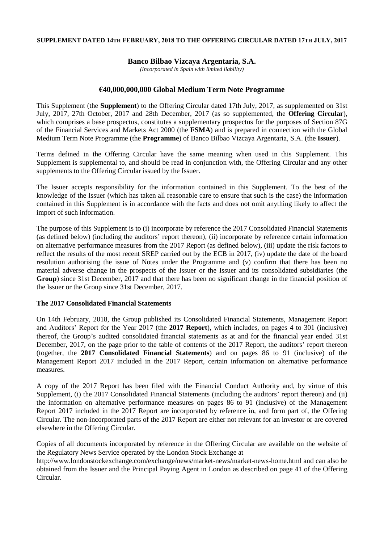#### **SUPPLEMENT DATED 14TH FEBRUARY, 2018 TO THE OFFERING CIRCULAR DATED 17TH JULY, 2017**

# **Banco Bilbao Vizcaya Argentaria, S.A.**

*(Incorporated in Spain with limited liability)*

# **€40,000,000,000 Global Medium Term Note Programme**

This Supplement (the **Supplement**) to the Offering Circular dated 17th July, 2017, as supplemented on 31st July, 2017, 27th October, 2017 and 28th December, 2017 (as so supplemented, the **Offering Circular**), which comprises a base prospectus, constitutes a supplementary prospectus for the purposes of Section 87G of the Financial Services and Markets Act 2000 (the **FSMA**) and is prepared in connection with the Global Medium Term Note Programme (the **Programme**) of Banco Bilbao Vizcaya Argentaria, S.A. (the **Issuer**).

Terms defined in the Offering Circular have the same meaning when used in this Supplement. This Supplement is supplemental to, and should be read in conjunction with, the Offering Circular and any other supplements to the Offering Circular issued by the Issuer.

The Issuer accepts responsibility for the information contained in this Supplement. To the best of the knowledge of the Issuer (which has taken all reasonable care to ensure that such is the case) the information contained in this Supplement is in accordance with the facts and does not omit anything likely to affect the import of such information.

The purpose of this Supplement is to (i) incorporate by reference the 2017 Consolidated Financial Statements (as defined below) (including the auditors' report thereon), (ii) incorporate by reference certain information on alternative performance measures from the 2017 Report (as defined below), (iii) update the risk factors to reflect the results of the most recent SREP carried out by the ECB in 2017, (iv) update the date of the board resolution authorising the issue of Notes under the Programme and (v) confirm that there has been no material adverse change in the prospects of the Issuer or the Issuer and its consolidated subsidiaries (the **Group**) since 31st December, 2017 and that there has been no significant change in the financial position of the Issuer or the Group since 31st December, 2017.

### **The 2017 Consolidated Financial Statements**

On 14th February, 2018, the Group published its Consolidated Financial Statements, Management Report and Auditors' Report for the Year 2017 (the **2017 Report**), which includes, on pages 4 to 301 (inclusive) thereof, the Group's audited consolidated financial statements as at and for the financial year ended 31st December, 2017, on the page prior to the table of contents of the 2017 Report, the auditors' report thereon (together, the **2017 Consolidated Financial Statements**) and on pages 86 to 91 (inclusive) of the Management Report 2017 included in the 2017 Report, certain information on alternative performance measures.

A copy of the 2017 Report has been filed with the Financial Conduct Authority and, by virtue of this Supplement, (i) the 2017 Consolidated Financial Statements (including the auditors' report thereon) and (ii) the information on alternative performance measures on pages 86 to 91 (inclusive) of the Management Report 2017 included in the 2017 Report are incorporated by reference in, and form part of, the Offering Circular. The non-incorporated parts of the 2017 Report are either not relevant for an investor or are covered elsewhere in the Offering Circular.

Copies of all documents incorporated by reference in the Offering Circular are available on the website of the Regulatory News Service operated by the London Stock Exchange at

http://www.londonstockexchange.com/exchange/news/market-news/market-news-home.html and can also be obtained from the Issuer and the Principal Paying Agent in London as described on page 41 of the Offering Circular.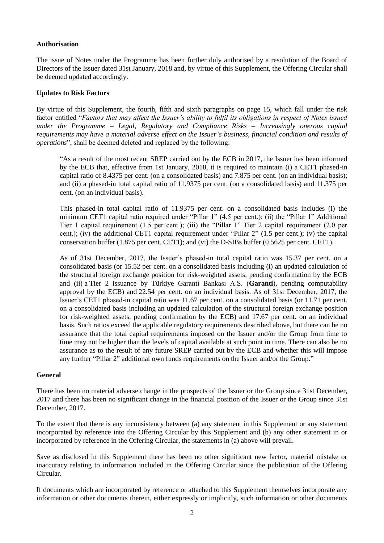# **Authorisation**

The issue of Notes under the Programme has been further duly authorised by a resolution of the Board of Directors of the Issuer dated 31st January, 2018 and, by virtue of this Supplement, the Offering Circular shall be deemed updated accordingly.

# **Updates to Risk Factors**

By virtue of this Supplement, the fourth, fifth and sixth paragraphs on page 15, which fall under the risk factor entitled "*Factors that may affect the Issuer's ability to fulfil its obligations in respect of Notes issued under the Programme – Legal, Regulatory and Compliance Risks – Increasingly onerous capital requirements may have a material adverse effect on the Issuer's business, financial condition and results of operations*", shall be deemed deleted and replaced by the following:

"As a result of the most recent SREP carried out by the ECB in 2017, the Issuer has been informed by the ECB that, effective from 1st January, 2018, it is required to maintain (i) a CET1 phased-in capital ratio of 8.4375 per cent. (on a consolidated basis) and 7.875 per cent. (on an individual basis); and (ii) a phased-in total capital ratio of 11.9375 per cent. (on a consolidated basis) and 11.375 per cent. (on an individual basis).

This phased-in total capital ratio of 11.9375 per cent. on a consolidated basis includes (i) the minimum CET1 capital ratio required under "Pillar 1" (4.5 per cent.); (ii) the "Pillar 1" Additional Tier 1 capital requirement (1.5 per cent.); (iii) the "Pillar 1" Tier 2 capital requirement (2.0 per cent.); (iv) the additional CET1 capital requirement under "Pillar 2" (1.5 per cent.); (v) the capital conservation buffer (1.875 per cent. CET1); and (vi) the D-SIBs buffer (0.5625 per cent. CET1).

As of 31st December, 2017, the Issuer's phased-in total capital ratio was 15.37 per cent. on a consolidated basis (or 15.52 per cent. on a consolidated basis including (i) an updated calculation of the structural foreign exchange position for risk-weighted assets, pending confirmation by the ECB and (ii) a Tier 2 issuance by Türkiye Garanti Bankası A.Ş. (**Garanti**), pending computability approval by the ECB) and 22.54 per cent. on an individual basis. As of 31st December, 2017, the Issuer's CET1 phased-in capital ratio was 11.67 per cent. on a consolidated basis (or 11.71 per cent. on a consolidated basis including an updated calculation of the structural foreign exchange position for risk-weighted assets, pending confirmation by the ECB) and 17.67 per cent. on an individual basis. Such ratios exceed the applicable regulatory requirements described above, but there can be no assurance that the total capital requirements imposed on the Issuer and/or the Group from time to time may not be higher than the levels of capital available at such point in time. There can also be no assurance as to the result of any future SREP carried out by the ECB and whether this will impose any further "Pillar 2" additional own funds requirements on the Issuer and/or the Group."

### **General**

There has been no material adverse change in the prospects of the Issuer or the Group since 31st December, 2017 and there has been no significant change in the financial position of the Issuer or the Group since 31st December, 2017.

To the extent that there is any inconsistency between (a) any statement in this Supplement or any statement incorporated by reference into the Offering Circular by this Supplement and (b) any other statement in or incorporated by reference in the Offering Circular, the statements in (a) above will prevail.

Save as disclosed in this Supplement there has been no other significant new factor, material mistake or inaccuracy relating to information included in the Offering Circular since the publication of the Offering Circular.

If documents which are incorporated by reference or attached to this Supplement themselves incorporate any information or other documents therein, either expressly or implicitly, such information or other documents